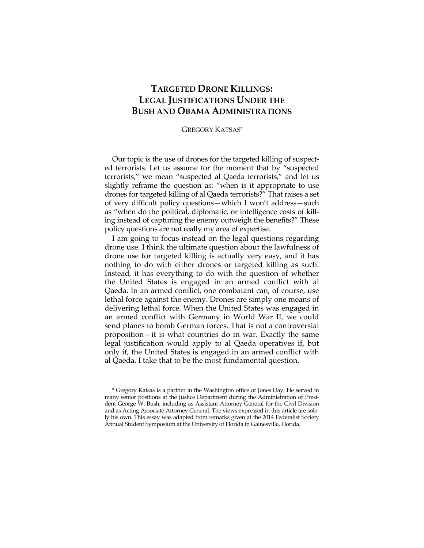## **TARGETED DRONE KILLINGS: LEGAL JUSTIFICATIONS UNDER THE BUSH AND OBAMA ADMINISTRATIONS**

## GREGORY KATSAS\*

Our topic is the use of drones for the targeted killing of suspected terrorists. Let us assume for the moment that by "suspected terrorists," we mean "suspected al Qaeda terrorists," and let us slightly reframe the question as: "when is it appropriate to use drones for targeted killing of al Qaeda terrorists?" That raises a set of very difficult policy questions—which I won't address—such as "when do the political, diplomatic, or intelligence costs of killing instead of capturing the enemy outweigh the benefits?" These policy questions are not really my area of expertise.

I am going to focus instead on the legal questions regarding drone use. I think the ultimate question about the lawfulness of drone use for targeted killing is actually very easy, and it has nothing to do with either drones or targeted killing as such. Instead, it has everything to do with the question of whether the United States is engaged in an armed conflict with al Qaeda. In an armed conflict, one combatant can, of course, use lethal force against the enemy. Drones are simply one means of delivering lethal force. When the United States was engaged in an armed conflict with Germany in World War II, we could send planes to bomb German forces. That is not a controversial proposition—it is what countries do in war. Exactly the same legal justification would apply to al Qaeda operatives if, but only if, the United States is engaged in an armed conflict with al Qaeda. I take that to be the most fundamental question.

<sup>\*</sup> Gregory Katsas is a partner in the Washington office of Jones Day. He served in many senior positions at the Justice Department during the Administration of President George W. Bush, including as Assistant Attorney General for the Civil Division and as Acting Associate Attorney General. The views expressed in this article are solely his own. This essay was adapted from remarks given at the 2014 Federalist Society Annual Student Symposium at the University of Florida in Gainesville, Florida.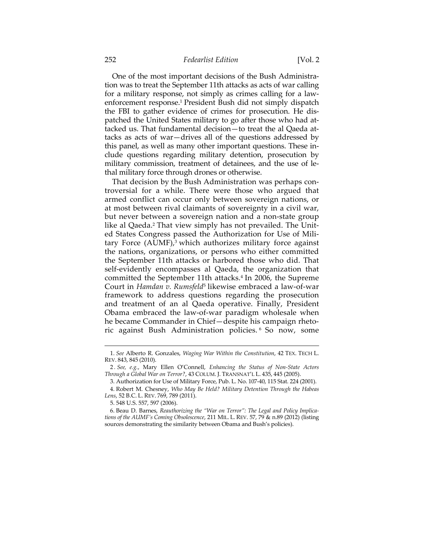## 252 *Fedearlist Edition* [Vol. 2

One of the most important decisions of the Bush Administration was to treat the September 11th attacks as acts of war calling for a military response, not simply as crimes calling for a lawenforcement response.1 President Bush did not simply dispatch the FBI to gather evidence of crimes for prosecution. He dispatched the United States military to go after those who had attacked us. That fundamental decision—to treat the al Qaeda attacks as acts of war—drives all of the questions addressed by this panel, as well as many other important questions. These include questions regarding military detention, prosecution by military commission, treatment of detainees, and the use of lethal military force through drones or otherwise.

That decision by the Bush Administration was perhaps controversial for a while. There were those who argued that armed conflict can occur only between sovereign nations, or at most between rival claimants of sovereignty in a civil war, but never between a sovereign nation and a non-state group like al Qaeda.<sup>2</sup> That view simply has not prevailed. The United States Congress passed the Authorization for Use of Military Force  $(AUMF)$ <sup>3</sup> which authorizes military force against the nations, organizations, or persons who either committed the September 11th attacks or harbored those who did. That self-evidently encompasses al Qaeda, the organization that committed the September 11th attacks.<sup>4</sup> In 2006, the Supreme Court in *Hamdan v. Rumsfeld*5 likewise embraced a law-of-war framework to address questions regarding the prosecution and treatment of an al Qaeda operative. Finally, President Obama embraced the law-of-war paradigm wholesale when he became Commander in Chief—despite his campaign rhetoric against Bush Administration policies. 6 So now, some

5. 548 U.S. 557, 597 (2006).

 6. Beau D. Barnes, *Reauthorizing the "War on Terror": The Legal and Policy Implications of the AUMF's Coming Obsolescence*, 211 MIL. L. REV. 57, 79 & n.89 (2012) (listing sources demonstrating the similarity between Obama and Bush's policies).

<sup>&</sup>lt;u> 1989 - Johann Stein, marwolaethau a bhann an t-Amhain an t-Amhain an t-Amhain an t-Amhain an t-Amhain an t-A</u> 1. *See* Alberto R. Gonzales, *Waging War Within the Constitution*, 42 TEX. TECH L. REV. 843, 845 (2010).

<sup>2</sup> *. See, e.g.*, Mary Ellen O'Connell, *Enhancing the Status of Non-State Actors Through a Global War on Terror?*, 43 COLUM. J. TRANSNAT'L L. 435, 445 (2005).

 <sup>3.</sup> Authorization for Use of Military Force, Pub. L. No. 107-40, 115 Stat. 224 (2001).

 <sup>4.</sup> Robert M. Chesney, *Who May Be Held? Military Detention Through the Habeas Lens*, 52 B.C. L. REV. 769, 789 (2011).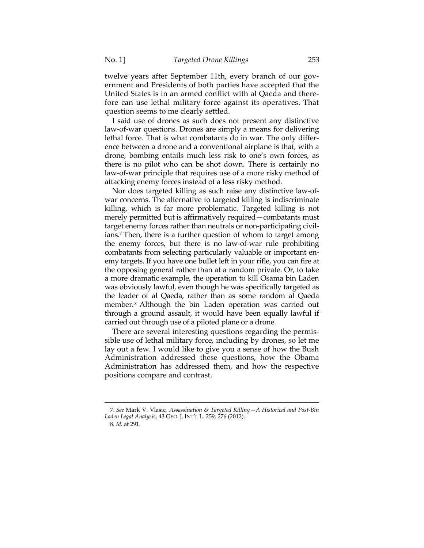twelve years after September 11th, every branch of our government and Presidents of both parties have accepted that the United States is in an armed conflict with al Qaeda and therefore can use lethal military force against its operatives. That question seems to me clearly settled.

I said use of drones as such does not present any distinctive law-of-war questions. Drones are simply a means for delivering lethal force. That is what combatants do in war. The only difference between a drone and a conventional airplane is that, with a drone, bombing entails much less risk to one's own forces, as there is no pilot who can be shot down. There is certainly no law-of-war principle that requires use of a more risky method of attacking enemy forces instead of a less risky method.

Nor does targeted killing as such raise any distinctive law-ofwar concerns. The alternative to targeted killing is indiscriminate killing, which is far more problematic. Targeted killing is not merely permitted but is affirmatively required—combatants must target enemy forces rather than neutrals or non-participating civilians.7 Then, there is a further question of whom to target among the enemy forces, but there is no law-of-war rule prohibiting combatants from selecting particularly valuable or important enemy targets. If you have one bullet left in your rifle, you can fire at the opposing general rather than at a random private. Or, to take a more dramatic example, the operation to kill Osama bin Laden was obviously lawful, even though he was specifically targeted as the leader of al Qaeda, rather than as some random al Qaeda member.<sup>8</sup> Although the bin Laden operation was carried out through a ground assault, it would have been equally lawful if carried out through use of a piloted plane or a drone.

There are several interesting questions regarding the permissible use of lethal military force, including by drones, so let me lay out a few. I would like to give you a sense of how the Bush Administration addressed these questions, how the Obama Administration has addressed them, and how the respective positions compare and contrast.

<sup>&</sup>lt;u> 1989 - Johann Barn, mars ar breithinn ar chuid ann an t-Alban ann an t-Alban ann an t-Alban ann an t-Alban a</u> 7. *See* Mark V. Vlasic, *Assassination & Targeted Killing—A Historical and Post-Bin Laden Legal Analysis*, 43 GEO. J. INT'L L. 259, 276 (2012).

<sup>8</sup>*. Id.* at 291.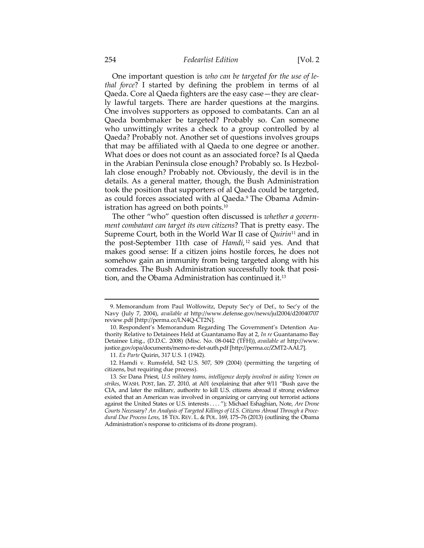One important question is *who can be targeted for the use of lethal force*? I started by defining the problem in terms of al Qaeda. Core al Qaeda fighters are the easy case—they are clearly lawful targets. There are harder questions at the margins. One involves supporters as opposed to combatants. Can an al Qaeda bombmaker be targeted? Probably so. Can someone who unwittingly writes a check to a group controlled by al Qaeda? Probably not. Another set of questions involves groups that may be affiliated with al Qaeda to one degree or another. What does or does not count as an associated force? Is al Qaeda in the Arabian Peninsula close enough? Probably so. Is Hezbollah close enough? Probably not. Obviously, the devil is in the details. As a general matter, though, the Bush Administration took the position that supporters of al Qaeda could be targeted, as could forces associated with al Qaeda.9 The Obama Administration has agreed on both points.10

The other "who" question often discussed is *whether a government combatant can target its own citizens*? That is pretty easy. The Supreme Court, both in the World War II case of *Quirin*11 and in the post-September 11th case of *Hamdi*, 12 said yes. And that makes good sense: If a citizen joins hostile forces, he does not somehow gain an immunity from being targeted along with his comrades. The Bush Administration successfully took that position, and the Obama Administration has continued it.13

<u> 1989 - Johann Stein, marwolaethau a bhann an t-Amhain an t-Amhain an t-Amhain an t-Amhain an t-Amhain an t-A</u>

 <sup>9.</sup> Memorandum from Paul Wolfowitz, Deputy Sec'y of Def., to Sec'y of the Navy (July 7, 2004), *available at* http://www.defense.gov/news/jul2004/d20040707 review.pdf [http://perma.cc/LN4Q-CT2N].

 <sup>10.</sup> Respondent's Memorandum Regarding The Government's Detention Authority Relative to Detainees Held at Guantanamo Bay at 2, *In re* Guantanamo Bay Detainee Litig., (D.D.C. 2008) (Misc. No. 08-0442 (TFH)), *available at* http://www. justice.gov/opa/documents/memo-re-det-auth.pdf [http://perma.cc/ZMT2-AAL7].

 <sup>11.</sup> *Ex Parte* Quirin, 317 U.S. 1 (1942).

 <sup>12.</sup> Hamdi v. Rumsfeld, 542 U.S. 507, 509 (2004) (permitting the targeting of citizens, but requiring due process).

<sup>13</sup>*. See* Dana Priest, *U.S military teams, intelligence deeply involved in aiding Yemen on strikes*, WASH. POST, Jan. 27, 2010, at A01 (explaining that after 9/11 "Bush gave the CIA, and later the military, authority to kill U.S. citizens abroad if strong evidence existed that an American was involved in organizing or carrying out terrorist actions against the United States or U.S. interests . . . . "); Michael Eshaghian, Note, *Are Drone Courts Necessary? An Analysis of Targeted Killings of U.S. Citizens Abroad Through a Procedural Due Process Lens*, 18 TEX. REV. L. & POL. 169, 175–76 (2013) (outlining the Obama Administration's response to criticisms of its drone program).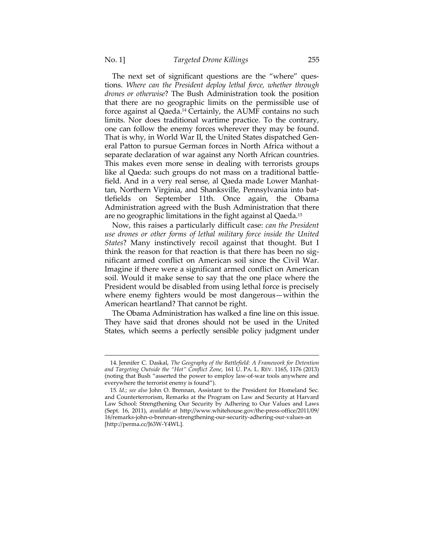The next set of significant questions are the "where" questions. *Where can the President deploy lethal force, whether through drones or otherwise*? The Bush Administration took the position that there are no geographic limits on the permissible use of force against al Qaeda.14 Certainly, the AUMF contains no such limits. Nor does traditional wartime practice. To the contrary, one can follow the enemy forces wherever they may be found. That is why, in World War II, the United States dispatched General Patton to pursue German forces in North Africa without a separate declaration of war against any North African countries. This makes even more sense in dealing with terrorists groups like al Qaeda: such groups do not mass on a traditional battlefield. And in a very real sense, al Qaeda made Lower Manhattan, Northern Virginia, and Shanksville, Pennsylvania into battlefields on September 11th. Once again, the Obama Administration agreed with the Bush Administration that there are no geographic limitations in the fight against al Qaeda.15

Now, this raises a particularly difficult case: *can the President use drones or other forms of lethal military force inside the United States*? Many instinctively recoil against that thought. But I think the reason for that reaction is that there has been no significant armed conflict on American soil since the Civil War. Imagine if there were a significant armed conflict on American soil. Would it make sense to say that the one place where the President would be disabled from using lethal force is precisely where enemy fighters would be most dangerous—within the American heartland? That cannot be right.

The Obama Administration has walked a fine line on this issue. They have said that drones should not be used in the United States, which seems a perfectly sensible policy judgment under

 <sup>14.</sup> Jennifer C. Daskal, *The Geography of the Battlefield: A Framework for Detention and Targeting Outside the "Hot" Conflict Zone*, 161 U. PA. L. REV. 1165, 1176 (2013) (noting that Bush "asserted the power to employ law-of-war tools anywhere and everywhere the terrorist enemy is found").

<sup>15</sup>*. Id.*; *see also* John O. Brennan, Assistant to the President for Homeland Sec. and Counterterrorism, Remarks at the Program on Law and Security at Harvard Law School: Strengthening Our Security by Adhering to Our Values and Laws (Sept. 16, 2011), *available at* http://www.whitehouse.gov/the-press-office/2011/09/ 16/remarks-john-o-brennan-strengthening-our-security-adhering-our-values-an [http://perma.cc/J63W-Y4WL].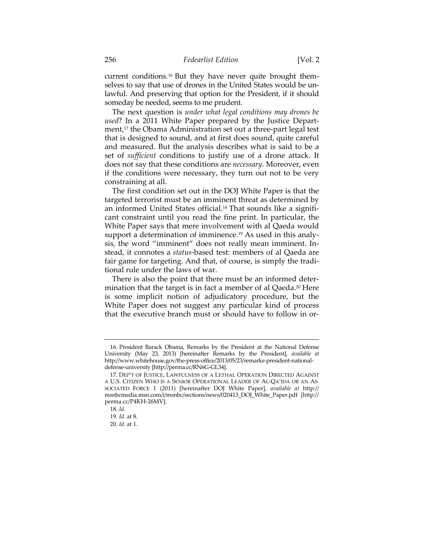current conditions.16 But they have never quite brought themselves to say that use of drones in the United States would be unlawful. And preserving that option for the President, if it should someday be needed, seems to me prudent.

The next question is *under what legal conditions may drones be used*? In a 2011 White Paper prepared by the Justice Department,<sup>17</sup> the Obama Administration set out a three-part legal test that is designed to sound, and at first does sound, quite careful and measured. But the analysis describes what is said to be a set of *sufficient* conditions to justify use of a drone attack. It does not say that these conditions are *necessary*. Moreover, even if the conditions were necessary, they turn out not to be very constraining at all.

The first condition set out in the DOJ White Paper is that the targeted terrorist must be an imminent threat as determined by an informed United States official.<sup>18</sup> That sounds like a significant constraint until you read the fine print. In particular, the White Paper says that mere involvement with al Qaeda would support a determination of imminence.<sup>19</sup> As used in this analysis, the word "imminent" does not really mean imminent. Instead, it connotes a *status*-based test: members of al Qaeda are fair game for targeting. And that, of course, is simply the traditional rule under the laws of war.

There is also the point that there must be an informed determination that the target is in fact a member of al Qaeda.<sup>20</sup> Here is some implicit notion of adjudicatory procedure, but the White Paper does not suggest any particular kind of process that the executive branch must or should have to follow in or-

 <sup>16.</sup> President Barack Obama, Remarks by the President at the National Defense University (May 23, 2013) [hereinafter Remarks by the President], *available at* http://www.whitehouse.gov/the-press-office/2013/05/23/remarks-president-nationaldefense-university [http://perma.cc/RN6G-GL34].

 <sup>17.</sup> DEP'T OF JUSTICE, LAWFULNESS OF A LETHAL OPERATION DIRECTED AGAINST A U.S. CITIZEN WHO IS A SENIOR OPERATIONAL LEADER OF AL-QA'IDA OR AN AS-SOCIATED FORCE 1 (2011) [hereinafter DOJ White Paper], *available at* http:// msnbcmedia.msn.com/i/msnbc/sections/news/020413\_DOJ\_White\_Paper.pdf [http:// perma.cc/P4KH-26MV].

<sup>18</sup>*. Id.* 

<sup>19</sup>*. Id.* at 8.

<sup>20</sup>*. Id.* at 1.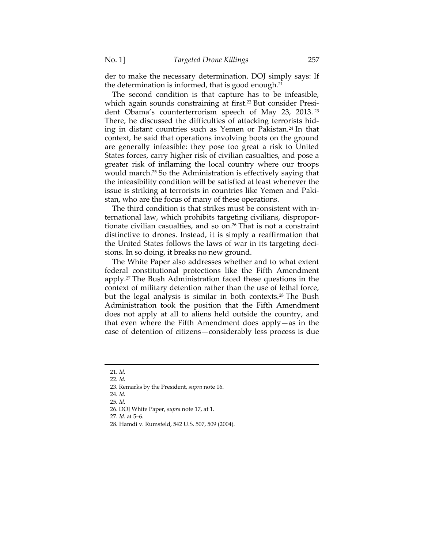der to make the necessary determination. DOJ simply says: If the determination is informed, that is good enough.21

The second condition is that capture has to be infeasible, which again sounds constraining at first.<sup>22</sup> But consider President Obama's counterterrorism speech of May 23, 2013. <sup>23</sup> There, he discussed the difficulties of attacking terrorists hiding in distant countries such as Yemen or Pakistan.24 In that context, he said that operations involving boots on the ground are generally infeasible: they pose too great a risk to United States forces, carry higher risk of civilian casualties, and pose a greater risk of inflaming the local country where our troops would march.25 So the Administration is effectively saying that the infeasibility condition will be satisfied at least whenever the issue is striking at terrorists in countries like Yemen and Pakistan, who are the focus of many of these operations.

The third condition is that strikes must be consistent with international law, which prohibits targeting civilians, disproportionate civilian casualties, and so on.26 That is not a constraint distinctive to drones. Instead, it is simply a reaffirmation that the United States follows the laws of war in its targeting decisions. In so doing, it breaks no new ground.

The White Paper also addresses whether and to what extent federal constitutional protections like the Fifth Amendment apply.27 The Bush Administration faced these questions in the context of military detention rather than the use of lethal force, but the legal analysis is similar in both contexts.28 The Bush Administration took the position that the Fifth Amendment does not apply at all to aliens held outside the country, and that even where the Fifth Amendment does apply—as in the case of detention of citizens—considerably less process is due

<u> 1989 - Johann Barn, mars ar breithinn ar chuid ann an t-Alban ann an t-Alban ann an t-Alban ann an t-Alban a</u>

28*.* Hamdi v. Rumsfeld, 542 U.S. 507, 509 (2004).

<sup>21</sup>*. Id.*

<sup>22</sup>*. Id.*

 <sup>23.</sup> Remarks by the President, *supra* note 16.

<sup>24</sup>*. Id.*

<sup>25</sup>*. Id.*

 <sup>26.</sup> DOJ White Paper, *supra* note 17, at 1.

<sup>27</sup>*. Id.* at 5–6.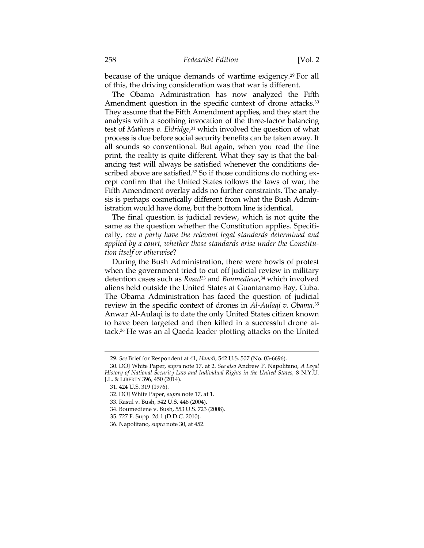because of the unique demands of wartime exigency.29 For all of this, the driving consideration was that war is different.

The Obama Administration has now analyzed the Fifth Amendment question in the specific context of drone attacks.<sup>30</sup> They assume that the Fifth Amendment applies, and they start the analysis with a soothing invocation of the three-factor balancing test of *Mathews v. Eldridge*, 31 which involved the question of what process is due before social security benefits can be taken away. It all sounds so conventional. But again, when you read the fine print, the reality is quite different. What they say is that the balancing test will always be satisfied whenever the conditions described above are satisfied.<sup>32</sup> So if those conditions do nothing except confirm that the United States follows the laws of war, the Fifth Amendment overlay adds no further constraints. The analysis is perhaps cosmetically different from what the Bush Administration would have done, but the bottom line is identical.

The final question is judicial review, which is not quite the same as the question whether the Constitution applies. Specifically, *can a party have the relevant legal standards determined and applied by a court, whether those standards arise under the Constitution itself or otherwise*?

During the Bush Administration, there were howls of protest when the government tried to cut off judicial review in military detention cases such as *Rasul*<sup>33</sup> and *Boumediene*, 34 which involved aliens held outside the United States at Guantanamo Bay, Cuba. The Obama Administration has faced the question of judicial review in the specific context of drones in *Al-Aulaqi v. Obama*. 35 Anwar Al-Aulaqi is to date the only United States citizen known to have been targeted and then killed in a successful drone attack.36 He was an al Qaeda leader plotting attacks on the United

 <sup>29.</sup> *See* Brief for Respondent at 41, *Hamdi*, 542 U.S. 507 (No. 03-6696).

 <sup>30.</sup> DOJ White Paper, *supra* note 17, at 2. *See also* Andrew P. Napolitano, *A Legal History of National Security Law and Individual Rights in the United States*, 8 N.Y.U. J.L. & LIBERTY 396, 450 (2014).

 <sup>31. 424</sup> U.S. 319 (1976).

 <sup>32.</sup> DOJ White Paper, *supra* note 17, at 1.

 <sup>33.</sup> Rasul v. Bush, 542 U.S. 446 (2004).

 <sup>34.</sup> Boumediene v. Bush, 553 U.S. 723 (2008).

 <sup>35. 727</sup> F. Supp. 2d 1 (D.D.C. 2010).

 <sup>36.</sup> Napolitano, *supra* note 30, at 452.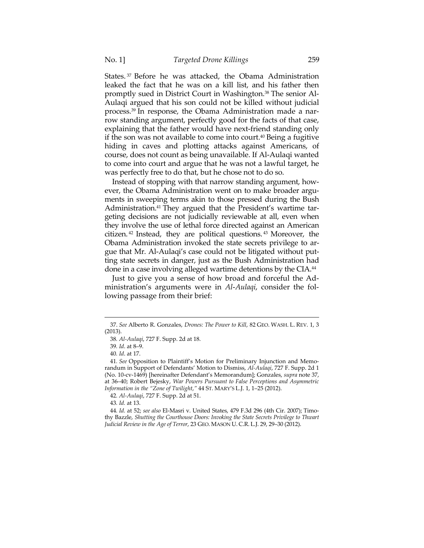States. 37 Before he was attacked, the Obama Administration leaked the fact that he was on a kill list, and his father then promptly sued in District Court in Washington.38 The senior Al-Aulaqi argued that his son could not be killed without judicial process.39 In response, the Obama Administration made a narrow standing argument, perfectly good for the facts of that case, explaining that the father would have next-friend standing only if the son was not available to come into court.40 Being a fugitive hiding in caves and plotting attacks against Americans, of course, does not count as being unavailable. If Al-Aulaqi wanted to come into court and argue that he was not a lawful target, he was perfectly free to do that, but he chose not to do so.

Instead of stopping with that narrow standing argument, however, the Obama Administration went on to make broader arguments in sweeping terms akin to those pressed during the Bush Administration.<sup>41</sup> They argued that the President's wartime targeting decisions are not judicially reviewable at all, even when they involve the use of lethal force directed against an American citizen. 42 Instead, they are political questions. 43 Moreover, the Obama Administration invoked the state secrets privilege to argue that Mr. Al-Aulaqi's case could not be litigated without putting state secrets in danger, just as the Bush Administration had done in a case involving alleged wartime detentions by the CIA.44

Just to give you a sense of how broad and forceful the Administration's arguments were in *Al*-*Aulaqi*, consider the following passage from their brief:

42*. Al-Aulaqi*, 727 F. Supp. 2d at 51.

43*. Id.* at 13.

44*. Id.* at 52; *see also* El-Masri v. United States, 479 F.3d 296 (4th Cir. 2007); Timothy Bazzle, *Shutting the Courthouse Doors: Invoking the State Secrets Privilege to Thwart Judicial Review in the Age of Terror*, 23 GEO. MASON U. C.R. L.J. 29, 29–30 (2012).

<sup>&</sup>lt;u> 1989 - Johann Barn, mars ar breithinn ar chuid ann an t-Alban ann an t-Alban ann an t-Alban ann an t-Alban a</u> 37. *See* Alberto R. Gonzales, *Drones: The Power to Kill*, 82 GEO. WASH. L. REV. 1, 3 (2013).

<sup>38</sup>*. Al-Aulaqi*, 727 F. Supp. 2d at 18.

<sup>39</sup>*. Id*. at 8–9.

<sup>40</sup>*. Id*. at 17.

<sup>41</sup>*. See* Opposition to Plaintiff's Motion for Preliminary Injunction and Memorandum in Support of Defendants' Motion to Dismiss, *Al-Aulaqi*, 727 F. Supp. 2d 1 (No. 10-cv-1469) [hereinafter Defendant's Memorandum]; Gonzales, *supra* note 37, at 36–40; Robert Bejesky, *War Powers Pursuant to False Perceptions and Asymmetric Information in the "Zone of Twilight*,*"* 44 ST. MARY'S L.J. 1, 1–25 (2012).